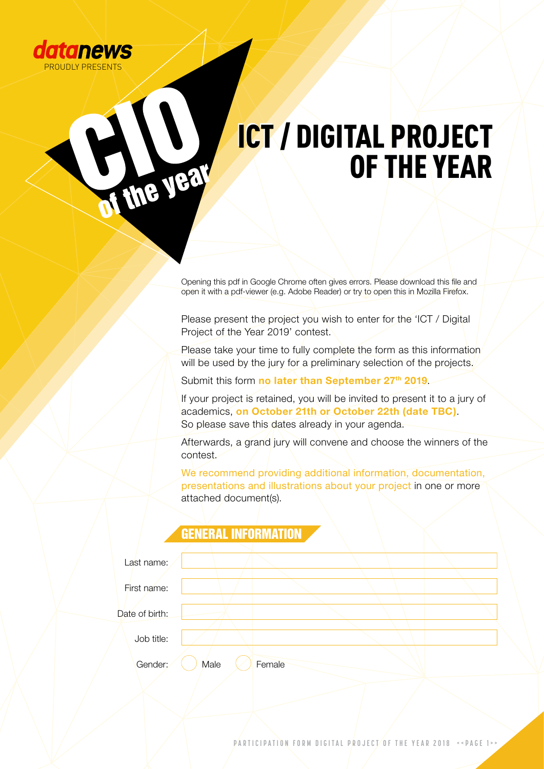

I the year

### ICT / DIGITAL PROJECT OF THE YEAR ICT / DIGITAL PROJECT OF THE YEAR

Opening this pdf in Google Chrome often gives errors. Please download this file and open it with a pdf-viewer (e.g. Adobe Reader) or try to open this in Mozilla Firefox.

Please present the project you wish to enter for the 'ICT / Digital Project of the Year 2019' contest.

Please take your time to fully complete the form as this information will be used by the jury for a preliminary selection of the projects.

Submit this form **no later than September 27th 2019**.

If your project is retained, you will be invited to present it to a jury of academics, **on October 21th or October 22th (date TBC)**. So please save this dates already in your agenda.

Afterwards, a grand jury will convene and choose the winners of the contest.

We recommend providing additional information, documentation, presentations and illustrations about your project in one or more attached document(s).

|                | GENERAL INFORMATION |        |  |
|----------------|---------------------|--------|--|
|                |                     |        |  |
| Last name:     |                     |        |  |
|                |                     |        |  |
| First name:    |                     |        |  |
|                |                     |        |  |
| Date of birth: |                     |        |  |
|                |                     |        |  |
| Job title:     |                     |        |  |
|                |                     |        |  |
| Gender:        | Male                | Female |  |
|                |                     |        |  |

PARTICIPATION FORM DIGITAL PROJECT OF THE YEAR 2018 **<<PAGE 1>**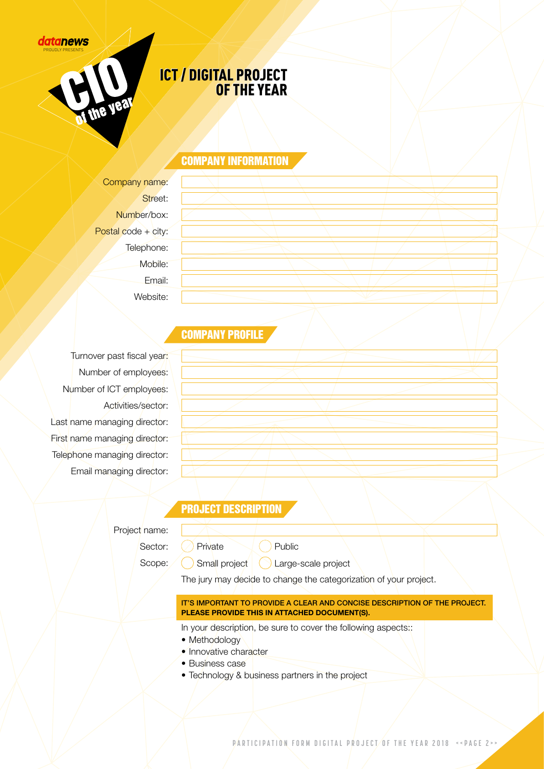#### datanews PROUDLY PRESENTS



### ICT / DIGITAL PROJECT ICT / DIGITAL PROJECT OF THE YEAR OF THE YEAR

#### COMPANY INFORMATION

Company name: Street: Number/box: Postal code + city: Telephone: Mobile: Email: Website:

### **COMPANY PROFILE**

Turnover past fiscal year: Number of employees: Number of ICT employees: Activities/sector: Last name managing director: First name managing director: Telephone managing director: Email managing director:

#### PROJECT DESCRIPTION

Sector: Scope: Private Public

Small project | Large-scale project

The jury may decide to change the categorization of your project.

## IT'S IMPORTANT TO PROVIDE A CLEAR AND CONCISE DESCRIPTION OF THE PROJECT.

**PLEASE PROVIDE THIS IN ATTACHED DOCUMENT(S).**

In your description, be sure to cover the following aspects:

- Methodology
- Innovative character
- Business case
- Technology & business partners in the project